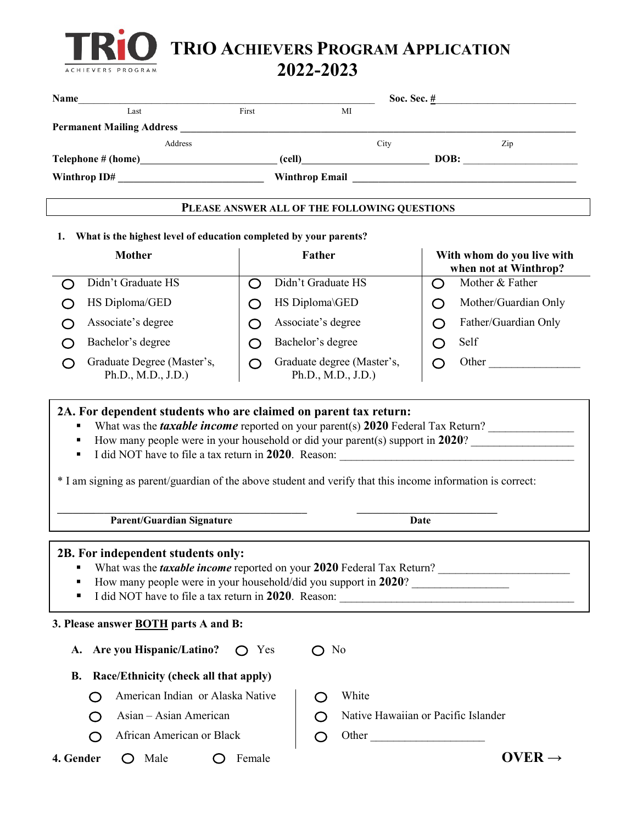

**TRIO ACHIEVERS PROGRAM APPLICATION** 

**2022-2023**

| Name                                                                                                                                                                                                                           |                |                                                  | Soc. Sec. $\frac{\#}{4}$                                                     |
|--------------------------------------------------------------------------------------------------------------------------------------------------------------------------------------------------------------------------------|----------------|--------------------------------------------------|------------------------------------------------------------------------------|
| Last                                                                                                                                                                                                                           | First          | MI                                               |                                                                              |
| Permanent Mailing Address Manual Account of the Contractor of the Contractor of the Contractor of the Contractor of the Contractor of the Contractor of the Contractor of the Contractor of the Contractor of the Contractor o |                |                                                  |                                                                              |
| Address<br>Telephone # (home) (cell) Cell DOB: DOB:                                                                                                                                                                            |                | City                                             | Zip                                                                          |
|                                                                                                                                                                                                                                |                |                                                  |                                                                              |
|                                                                                                                                                                                                                                |                |                                                  |                                                                              |
|                                                                                                                                                                                                                                |                | PLEASE ANSWER ALL OF THE FOLLOWING QUESTIONS     |                                                                              |
| What is the highest level of education completed by your parents?<br>1.                                                                                                                                                        |                |                                                  |                                                                              |
| Mother                                                                                                                                                                                                                         |                | Father                                           | With whom do you live with<br>when not at Winthrop?                          |
| Didn't Graduate HS                                                                                                                                                                                                             | ◯              | Didn't Graduate HS                               | Mother & Father<br>$\bigcirc$                                                |
| HS Diploma/GED                                                                                                                                                                                                                 | ( )            | HS Diploma\GED                                   | Mother/Guardian Only<br>O                                                    |
| Associate's degree<br>( )                                                                                                                                                                                                      | ◯              | Associate's degree                               | Father/Guardian Only<br>◯                                                    |
| Bachelor's degree                                                                                                                                                                                                              | ◯              | Bachelor's degree                                | Self<br>◯                                                                    |
| Graduate Degree (Master's,<br>Ph.D., M.D., J.D.)                                                                                                                                                                               | ⌒              | Graduate degree (Master's,<br>Ph.D., M.D., J.D.) | Other<br>O                                                                   |
| ٠<br>* I am signing as parent/guardian of the above student and verify that this income information is correct:                                                                                                                |                |                                                  |                                                                              |
| <b>Parent/Guardian Signature</b>                                                                                                                                                                                               |                |                                                  | Date                                                                         |
| 2B. For independent students only:<br>How many people were in your household/did you support in 2020?<br>п<br>п                                                                                                                |                |                                                  | What was the <i>taxable income</i> reported on your 2020 Federal Tax Return? |
| 3. Please answer <b>BOTH</b> parts A and B:                                                                                                                                                                                    |                |                                                  |                                                                              |
| A. Are you Hispanic/Latino?                                                                                                                                                                                                    | $\bigcirc$ Yes | $\bigcirc$ No                                    |                                                                              |
| Race/Ethnicity (check all that apply)<br><b>B.</b>                                                                                                                                                                             |                |                                                  |                                                                              |
| American Indian or Alaska Native                                                                                                                                                                                               |                | White<br>( )                                     |                                                                              |
| Asian - Asian American                                                                                                                                                                                                         |                | ( )                                              | Native Hawaiian or Pacific Islander                                          |
| African American or Black                                                                                                                                                                                                      |                | Other<br>( )                                     |                                                                              |
| 4. Gender<br>Male<br>( )<br>( )                                                                                                                                                                                                | Female         |                                                  | OVER $\rightarrow$                                                           |